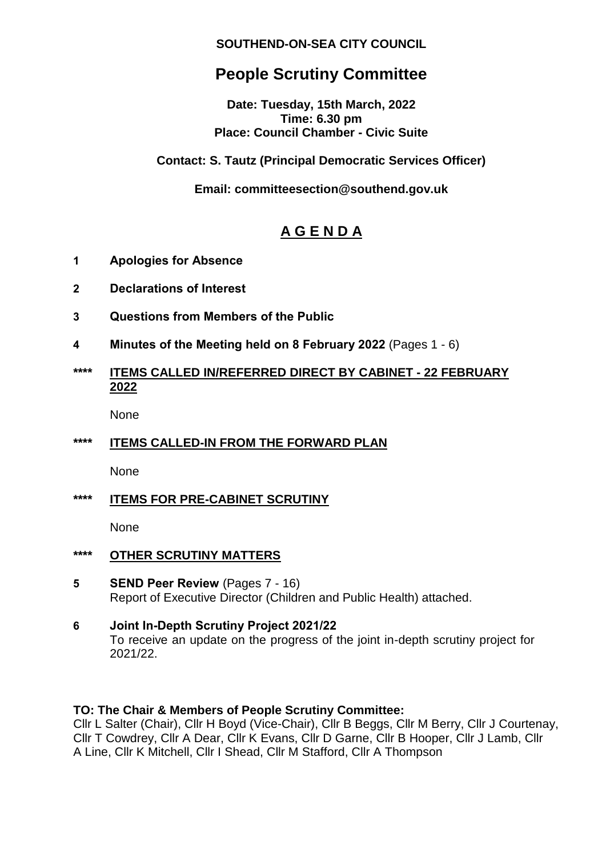### **SOUTHEND-ON-SEA CITY COUNCIL**

# **People Scrutiny Committee**

**Date: Tuesday, 15th March, 2022 Time: 6.30 pm Place: Council Chamber - Civic Suite**

### **Contact: S. Tautz (Principal Democratic Services Officer)**

**Email: committeesection@southend.gov.uk** 

## **A G E N D A**

- **1 Apologies for Absence**
- **2 Declarations of Interest**
- **3 Questions from Members of the Public**
- **4 Minutes of the Meeting held on 8 February 2022** (Pages 1 6)

### **\*\*\*\* ITEMS CALLED IN/REFERRED DIRECT BY CABINET - 22 FEBRUARY 2022**

None

## **\*\*\*\* ITEMS CALLED-IN FROM THE FORWARD PLAN**

None

**\*\*\*\* ITEMS FOR PRE-CABINET SCRUTINY**

None

- **\*\*\*\* OTHER SCRUTINY MATTERS**
- **5 SEND Peer Review** (Pages 7 16) Report of Executive Director (Children and Public Health) attached.
- **6 Joint In-Depth Scrutiny Project 2021/22** To receive an update on the progress of the joint in-depth scrutiny project for 2021/22.

#### **TO: The Chair & Members of People Scrutiny Committee:**

Cllr L Salter (Chair), Cllr H Boyd (Vice-Chair), Cllr B Beggs, Cllr M Berry, Cllr J Courtenay, Cllr T Cowdrey, Cllr A Dear, Cllr K Evans, Cllr D Garne, Cllr B Hooper, Cllr J Lamb, Cllr A Line, Cllr K Mitchell, Cllr I Shead, Cllr M Stafford, Cllr A Thompson